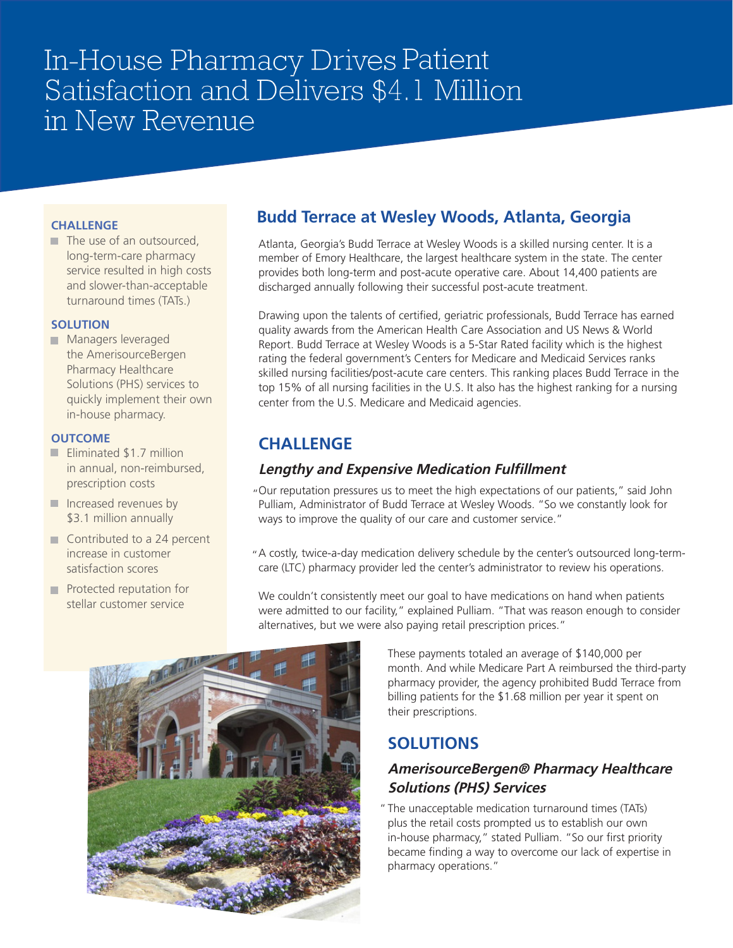# In-House Pharmacy Drives Patient Satisfaction and Delivers \$4.1 Million in New Revenue

#### **CHALLENGE**  $\mathcal{F}(\mathcal{A})$  and use of a outsourced , we use our set of a outsourced , where  $\mathcal{F}(\mathcal{A})$ Long-care pharmacy in the pharmacy of  $\mathbf{r}$

 $\blacksquare$  The use of an outsourced, long-term-care pharmacy service resulted in high costs and slower-than-acceptable turnaround times (TATs.)

## **SOLUTION**

**SOLOTION**<br>American Managers leveraged the AmerisourceBergen Pharmacy Healthcare Solutions (PHS) services to quickly implement their own **delay in-house pharmacy.**  $\blacksquare$  Ividitagers leverage

### **OUTCOME**

- Eliminated \$1.7 million ■ Emminated (11.7 million costs) **Prescription costs** \$3.1 million annually
- Increased revenues by  $\frac{1}{3}$  million annually politica in current contract in contract de la proporcion de la proporcion de la proporcion de la proporcion d<br>La proporcion de la proporcion de la proporcion de la proporcion de la proporcion de la proporcion de la propo
- Contributed to a 24 percent end increase in customer satisfaction scores
	- **Protected reputation for** stellar customer service

## **Budd Terrace at Wesley Woods, Atlanta, Georgia**

**EMERGHS**<br>Atlanta, Georgia's Budd Terrace at Wesley Woods is a skilled nursing center. It is a member of Emory Healthcare, the largest healthcare system in the state. The center member of Emory Healthcare, the largest healthcare system in the state. The center provides both long-term and post-acute operative care. About  $14,400$  patients are discharged annually following their successful post-acute treatment.

**Example 1** Drawing upon the talents of certified, geriatric professionals, Budd Terrace has earned quality awards from the American Health Care Association and US News & World quality awards from the American rieam Care Association and OS News & World<br>Report. Budd Terrace at Wesley Woods is a 5-Star Rated facility which is the highest rating the federal government's Centers for Medicare and Medicaid Services ranks skilled nursing facilities/post-acute care centers. This ranking places Budd Terrace in the top 15% of all nursing facilities in the U.S. It also has the highest ranking for a nursing ceptibility of an indicating identities in the U.S. It discusses.<br> **Challenger Content of the U.S. Medicare and Medicaid agencies.** 

### **CHALLENGE**

#### **Lengthy and Expensive Medication Fulfillment** "Our reputation pressures us to meet the high expectations of our patients," said John Pulliam,  $\mathcal{L}$  Editycity and Expensive Medication funnifiem

"Our reputation pressures us to meet the high expectations of our patients," said John Pulliam, Administrator of Budd Terrace at Wesley Woods. "So we constantly look for ways to improve the quality of our care and customer service."

A costly, twice-a-day medication delivery schedule by the center's outsourced long-termcare (LTC) pharmacy provider led the center's administrator to review his operations. (LTC) pharmacy provider led the center's administrator to review his operations. "

**and We couldn't consistently meet our goal to have medications on hand when patients**  $\blacksquare$  were admitted to our facility," explained Pulliam. "That was reason enough to consider alternatives, but we were also paying retail prescription prices."



These payments totaled an average of \$140,000 per month. And while Medicare Part A reimbursed the third-party pharmacy provider, the agency prohibited Budd Terrace pharmacy provider, the agency prohibited Budd Terrace from billing patients for the \$1.68 million per year it spent on from billing patients for the \$1.68 million per year it spent their prescriptions.

#### **SOLUTIONS**

#### **AmerisourceBergen® Pharmacy Healthcare SOlUTIOn Solutions (PHS) Services**

Solutions (1113) Services<br> *American turnaround times* (TATs) <sup>2</sup> The unacceptable medication turnaround times (TATs) rne unacceptable medication turnaround times (TATS)<br>plus the retail costs prompted us to establish our own in-house pharmacy," stated Pulliam. "So our first priority n-nouse pharmacy, stated runiam. So our mst phonty<br>became finding a way to overcome our lack of expertise in plating intemperations."<br>pharmacy operations." stated Pulliam. "So our first priority became finding a way to  $\mathcal{S}$  our finding a way to  $\mathcal{S}$  way to  $\mathcal{S}$